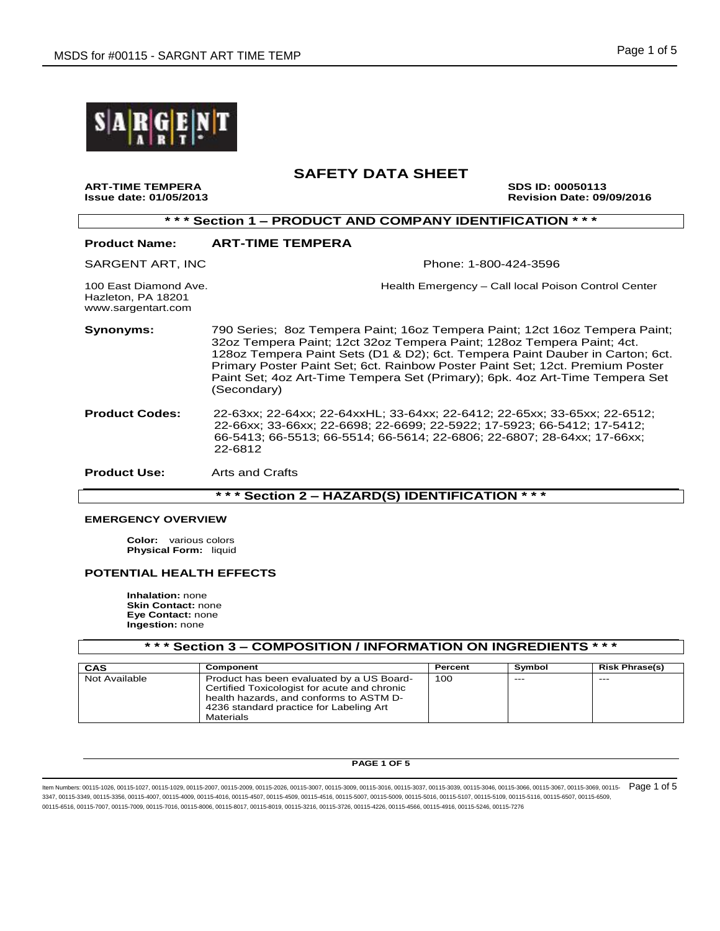

**ART-TIME TEMPERA SDS ID: 00050113 Issue date: 01/05/2013 Revision Date: 09/09/2016**

| *** Section 1 - PRODUCT AND COMPANY IDENTIFICATION ***            |                                                                                                                                                                                                                                                                                                                                                                                                                        |  |  |  |
|-------------------------------------------------------------------|------------------------------------------------------------------------------------------------------------------------------------------------------------------------------------------------------------------------------------------------------------------------------------------------------------------------------------------------------------------------------------------------------------------------|--|--|--|
| <b>Product Name:</b>                                              | <b>ART-TIME TEMPERA</b>                                                                                                                                                                                                                                                                                                                                                                                                |  |  |  |
| SARGENT ART, INC                                                  | Phone: 1-800-424-3596                                                                                                                                                                                                                                                                                                                                                                                                  |  |  |  |
| 100 East Diamond Ave.<br>Hazleton, PA 18201<br>www.sargentart.com | Health Emergency – Call local Poison Control Center                                                                                                                                                                                                                                                                                                                                                                    |  |  |  |
| <b>Synonyms:</b>                                                  | 790 Series; 8oz Tempera Paint; 16oz Tempera Paint; 12ct 16oz Tempera Paint;<br>32oz Tempera Paint; 12ct 32oz Tempera Paint; 128oz Tempera Paint; 4ct.<br>1280z Tempera Paint Sets (D1 & D2); 6ct. Tempera Paint Dauber in Carton; 6ct.<br>Primary Poster Paint Set; 6ct. Rainbow Poster Paint Set; 12ct. Premium Poster<br>Paint Set; 4oz Art-Time Tempera Set (Primary); 6pk. 4oz Art-Time Tempera Set<br>(Secondary) |  |  |  |
| <b>Product Codes:</b>                                             | 22-63xx; 22-64xx; 22-64xxHL; 33-64xx; 22-6412; 22-65xx; 33-65xx; 22-6512;<br>22-66xx; 33-66xx; 22-6698; 22-6699; 22-5922; 17-5923; 66-5412; 17-5412;<br>66-5413; 66-5513; 66-5514; 66-5614; 22-6806; 22-6807; 28-64xx; 17-66xx;<br>22-6812                                                                                                                                                                             |  |  |  |
| <b>Product Use:</b>                                               | Arts and Crafts                                                                                                                                                                                                                                                                                                                                                                                                        |  |  |  |
| *** Section 2 - HAZARD(S) IDENTIFICATION<br>* * *                 |                                                                                                                                                                                                                                                                                                                                                                                                                        |  |  |  |

## **EMERGENCY OVERVIEW**

**Color:** various colors **Physical Form:** liquid

# **POTENTIAL HEALTH EFFECTS**

**Inhalation:** none **Skin Contact:** none **Eye Contact:** none **Ingestion:** none

| *** Section 3 – COMPOSITION / INFORMATION ON INGREDIENTS *** |                                                                                                                                                                                              |         |        |                       |  |
|--------------------------------------------------------------|----------------------------------------------------------------------------------------------------------------------------------------------------------------------------------------------|---------|--------|-----------------------|--|
| CAS                                                          | Component                                                                                                                                                                                    | Percent | Symbol | <b>Risk Phrase(s)</b> |  |
| Not Available                                                | Product has been evaluated by a US Board-<br>Certified Toxicologist for acute and chronic<br>health hazards, and conforms to ASTM D-<br>4236 standard practice for Labeling Art<br>Materials | 100     | ----   | $---$                 |  |

#### **PAGE 1 OF 5**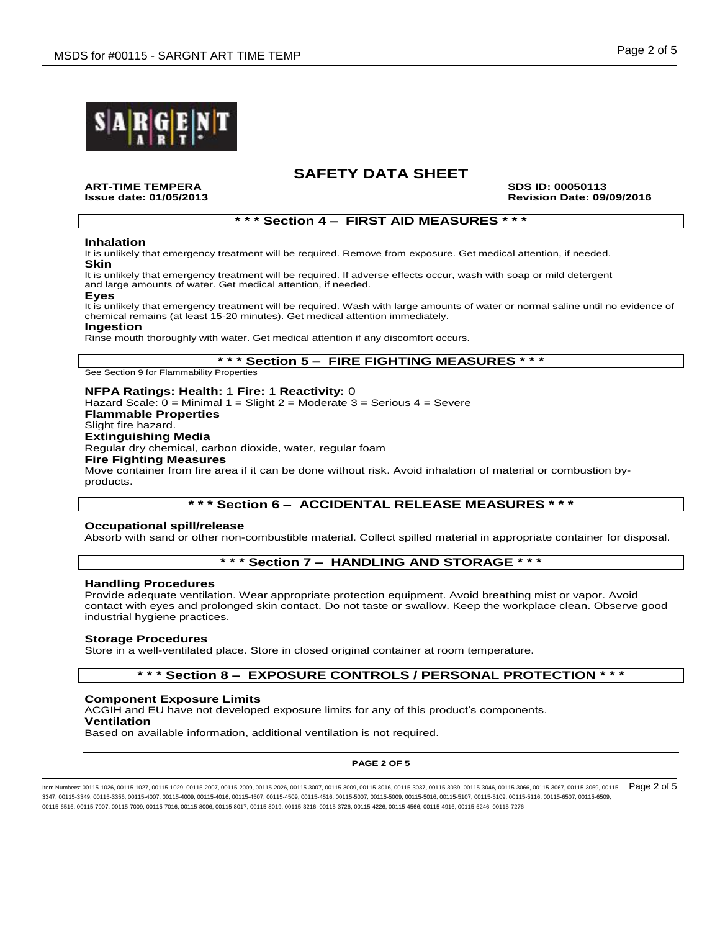

**ART-TIME TEMPERA SDS ID: 00050113**

**Issue date: 01/05/2013 Revision Date: 09/09/2016**

## **\* \* \* Section 4 – FIRST AID MEASURES \* \* \***

### **Inhalation**

It is unlikely that emergency treatment will be required. Remove from exposure. Get medical attention, if needed. **Skin**

It is unlikely that emergency treatment will be required. If adverse effects occur, wash with soap or mild detergent and large amounts of water. Get medical attention, if needed.

# **Eyes**

It is unlikely that emergency treatment will be required. Wash with large amounts of water or normal saline until no evidence of chemical remains (at least 15-20 minutes). Get medical attention immediately.

#### **Ingestion**

Rinse mouth thoroughly with water. Get medical attention if any discomfort occurs.

## **\* \* \* Section 5 – FIRE FIGHTING MEASURES \* \* \***

See Section 9 for Flammability Properties

#### **NFPA Ratings: Health:** 1 **Fire:** 1 **Reactivity:** 0

Hazard Scale:  $0 =$  Minimal  $1 =$  Slight  $2 =$  Moderate  $3 =$  Serious  $4 =$  Severe **Flammable Properties** Slight fire hazard. **Extinguishing Media** Regular dry chemical, carbon dioxide, water, regular foam **Fire Fighting Measures** Move container from fire area if it can be done without risk. Avoid inhalation of material or combustion byproducts.

# **\* \* \* Section 6 – ACCIDENTAL RELEASE MEASURES \* \* \***

### **Occupational spill/release**

Absorb with sand or other non-combustible material. Collect spilled material in appropriate container for disposal.

# **\* \* \* Section 7 – HANDLING AND STORAGE \* \* \***

### **Handling Procedures**

Provide adequate ventilation. Wear appropriate protection equipment. Avoid breathing mist or vapor. Avoid contact with eyes and prolonged skin contact. Do not taste or swallow. Keep the workplace clean. Observe good industrial hygiene practices.

### **Storage Procedures**

Store in a well-ventilated place. Store in closed original container at room temperature.

# **\* \* \* Section 8 – EXPOSURE CONTROLS / PERSONAL PROTECTION \* \* \***

### **Component Exposure Limits**

ACGIH and EU have not developed exposure limits for any of this product's components.

**Ventilation**

Based on available information, additional ventilation is not required.

#### **PAGE 2 OF 5**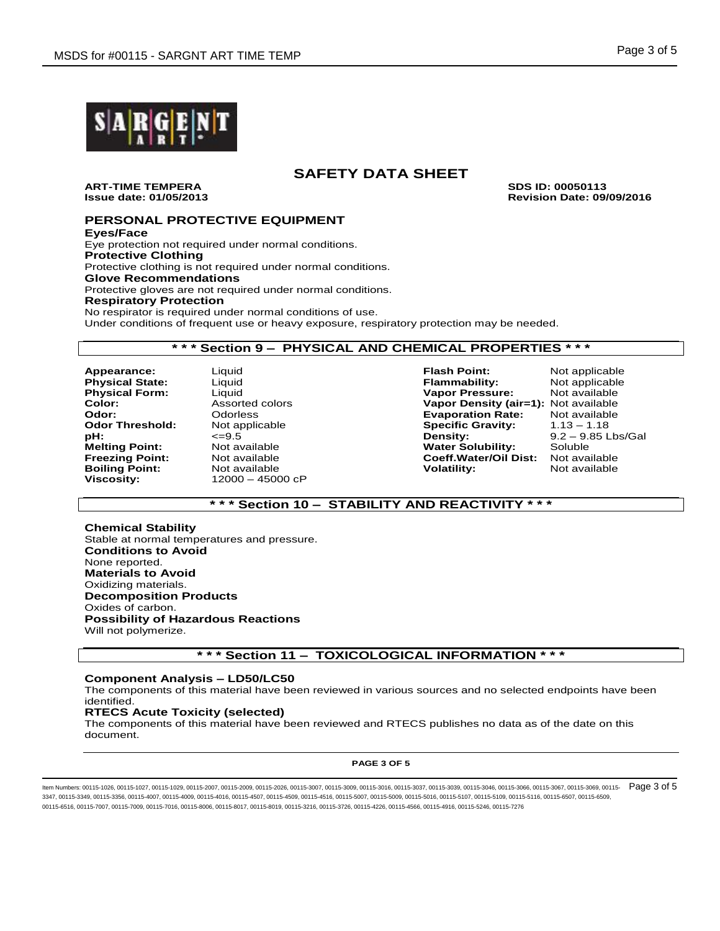

**ART-TIME TEMPERA SDS ID: 00050113**

**Issue date: 01/05/2013 Revision Date: 09/09/2016**

# **PERSONAL PROTECTIVE EQUIPMENT**

**Eyes/Face** Eye protection not required under normal conditions. **Protective Clothing** Protective clothing is not required under normal conditions. **Glove Recommendations** Protective gloves are not required under normal conditions. **Respiratory Protection** No respirator is required under normal conditions of use. Under conditions of frequent use or heavy exposure, respiratory protection may be needed.

# **\* \* \* Section 9 – PHYSICAL AND CHEMICAL PROPERTIES \* \* \***

**Appearance:** Liquid **Flash Point:** Not applicable **Physical State: Odor Threshold: Boiling Point:** Not available **Volatility**: **Volatility: Volatility: V Viscosity:** 12000 – 45000 cP

**Physical Form:** Liquid **Vapor Pressure:** Not available **Vapor Density (air=1): Not available Odor:** Odorless **Evaporation Rate:** Not available **pH:**  $\leq$  9.5  $\leq$  9.55 Lbs/Gal **Density:** 9.2 – 9.85 Lbs/Gal **Melting Point:** Not available **notice that the Video Constructs** Soluble **Melting Point:** Mot available **Notelling Point:** Not available **Notelling Point:** Not available **Coeff. Water/Oil Dist:** Not available **Freezing Point:** Not available **Coeff.Water/Oil Dist:** Not available

# **\* \* \* Section 10 – STABILITY AND REACTIVITY \* \* \***

**Chemical Stability** Stable at normal temperatures and pressure. **Conditions to Avoid** None reported. **Materials to Avoid** Oxidizing materials. **Decomposition Products** Oxides of carbon. **Possibility of Hazardous Reactions** Will not polymerize.

# **\* \* \* Section 11 – TOXICOLOGICAL INFORMATION \* \* \***

# **Component Analysis – LD50/LC50**

The components of this material have been reviewed in various sources and no selected endpoints have been identified.

### **RTECS Acute Toxicity (selected)**

The components of this material have been reviewed and RTECS publishes no data as of the date on this document.

#### **PAGE 3 OF 5**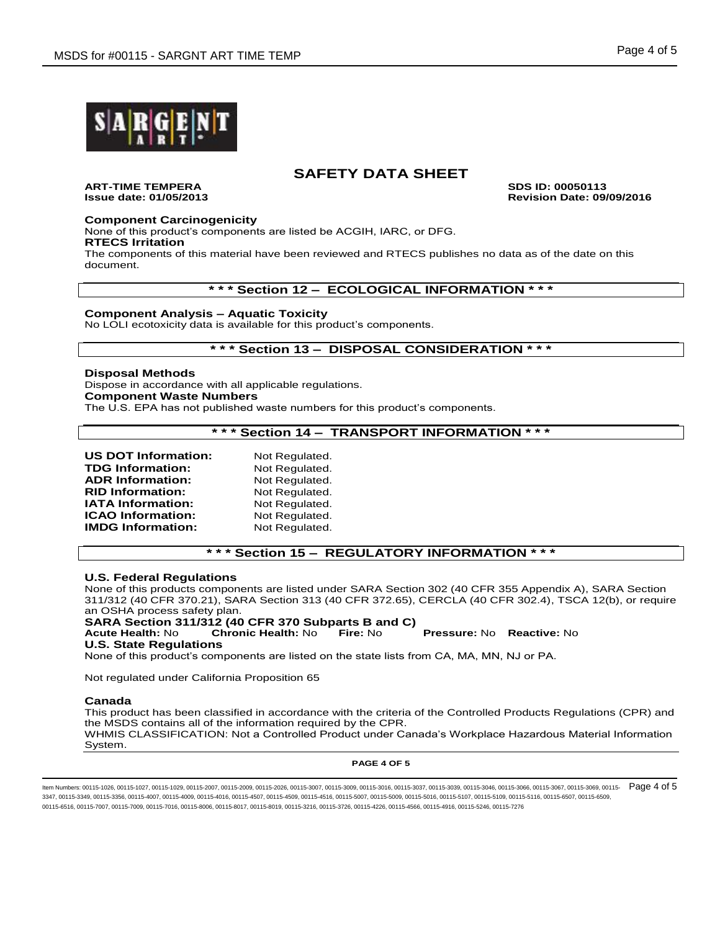

**ART-TIME TEMPERA SDS ID: 00050113**

**Issue date: 01/05/2013 Revision Date: 09/09/2016**

## **Component Carcinogenicity**

None of this product's components are listed be ACGIH, IARC, or DFG. **RTECS Irritation**

The components of this material have been reviewed and RTECS publishes no data as of the date on this document.

**\* \* \* Section 12 – ECOLOGICAL INFORMATION \* \* \***

## **Component Analysis – Aquatic Toxicity**

No LOLI ecotoxicity data is available for this product's components.

# **\* \* \* Section 13 – DISPOSAL CONSIDERATION \* \* \***

#### **Disposal Methods** Dispose in accordance with all applicable regulations. **Component Waste Numbers** The U.S. EPA has not published waste numbers for this product's components.

# **\* \* \* Section 14 – TRANSPORT INFORMATION \* \* \***

| <b>US DOT Information:</b> | Not Regulated. |
|----------------------------|----------------|
| <b>TDG Information:</b>    | Not Regulated. |
| <b>ADR Information:</b>    | Not Regulated. |
| <b>RID Information:</b>    | Not Regulated. |
| IATA Information:          | Not Regulated. |
| ICAO Information:          | Not Regulated. |
| <b>IMDG Information:</b>   | Not Regulated. |

# **\* \* \* Section 15 – REGULATORY INFORMATION \* \* \***

### **U.S. Federal Regulations**

None of this products components are listed under SARA Section 302 (40 CFR 355 Appendix A), SARA Section 311/312 (40 CFR 370.21), SARA Section 313 (40 CFR 372.65), CERCLA (40 CFR 302.4), TSCA 12(b), or require an OSHA process safety plan.

**SARA Section 311/312 (40 CFR 370 Subparts B and C)**

**Acute Health:** No **Chronic Health:** No **Fire:** No **Pressure:** No **Reactive:** No

## **U.S. State Regulations**

None of this product's components are listed on the state lists from CA, MA, MN, NJ or PA.

Not regulated under California Proposition 65

### **Canada**

This product has been classified in accordance with the criteria of the Controlled Products Regulations (CPR) and the MSDS contains all of the information required by the CPR. WHMIS CLASSIFICATION: Not a Controlled Product under Canada's Workplace Hazardous Material Information System.

#### **PAGE 4 OF 5**